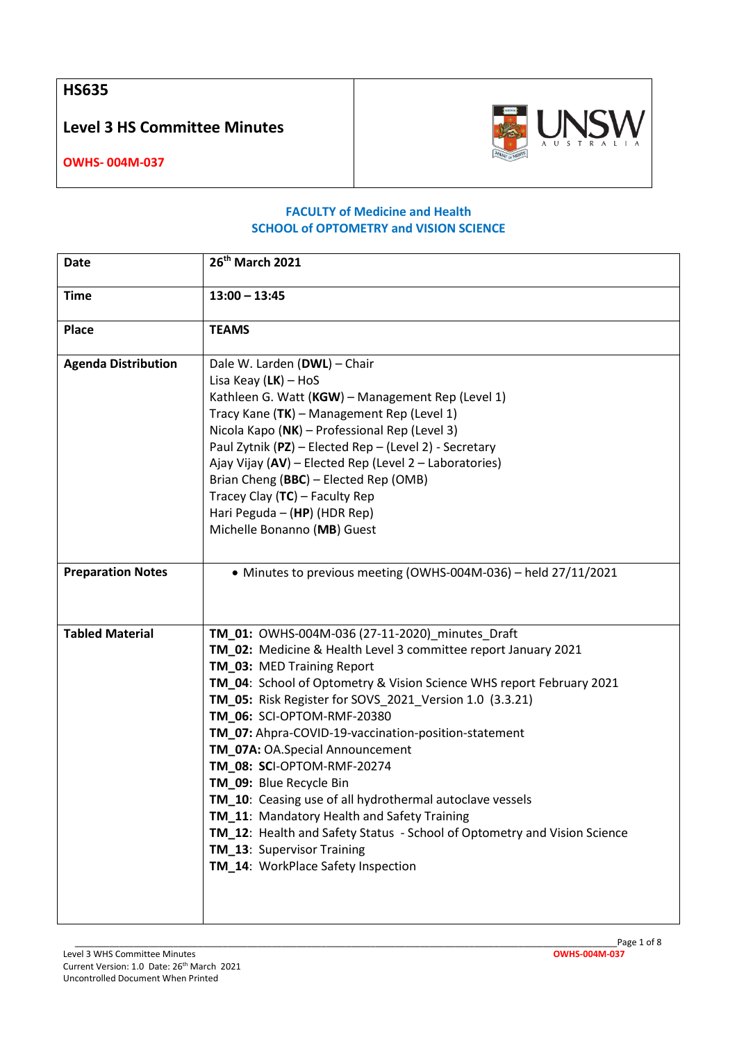**HS635**

**Level 3 HS Committee Minutes**



**OWHS- 004M-037**

## **FACULTY of Medicine and Health SCHOOL of OPTOMETRY and VISION SCIENCE**

| Date                       | 26 <sup>th</sup> March 2021                                                                                                                                                                                                                                                                                                                                                                                                                                                                                                                                                                                                                                                                                                     |
|----------------------------|---------------------------------------------------------------------------------------------------------------------------------------------------------------------------------------------------------------------------------------------------------------------------------------------------------------------------------------------------------------------------------------------------------------------------------------------------------------------------------------------------------------------------------------------------------------------------------------------------------------------------------------------------------------------------------------------------------------------------------|
| <b>Time</b>                | $13:00 - 13:45$                                                                                                                                                                                                                                                                                                                                                                                                                                                                                                                                                                                                                                                                                                                 |
| Place                      | <b>TEAMS</b>                                                                                                                                                                                                                                                                                                                                                                                                                                                                                                                                                                                                                                                                                                                    |
| <b>Agenda Distribution</b> | Dale W. Larden (DWL) - Chair<br>Lisa Keay $(LK)$ – HoS<br>Kathleen G. Watt (KGW) - Management Rep (Level 1)<br>Tracy Kane (TK) - Management Rep (Level 1)<br>Nicola Kapo (NK) - Professional Rep (Level 3)<br>Paul Zytnik (PZ) - Elected Rep - (Level 2) - Secretary<br>Ajay Vijay (AV) - Elected Rep (Level 2 - Laboratories)<br>Brian Cheng (BBC) - Elected Rep (OMB)<br>Tracey Clay (TC) - Faculty Rep<br>Hari Peguda - (HP) (HDR Rep)<br>Michelle Bonanno (MB) Guest                                                                                                                                                                                                                                                        |
| <b>Preparation Notes</b>   | • Minutes to previous meeting (OWHS-004M-036) - held 27/11/2021                                                                                                                                                                                                                                                                                                                                                                                                                                                                                                                                                                                                                                                                 |
| <b>Tabled Material</b>     | TM_01: OWHS-004M-036 (27-11-2020)_minutes_Draft<br>TM_02: Medicine & Health Level 3 committee report January 2021<br>TM_03: MED Training Report<br>TM_04: School of Optometry & Vision Science WHS report February 2021<br>TM_05: Risk Register for SOVS_2021_Version 1.0 (3.3.21)<br>TM_06: SCI-OPTOM-RMF-20380<br>TM_07: Ahpra-COVID-19-vaccination-position-statement<br>TM_07A: OA.Special Announcement<br>TM_08: SCI-OPTOM-RMF-20274<br>TM_09: Blue Recycle Bin<br>TM_10: Ceasing use of all hydrothermal autoclave vessels<br>TM_11: Mandatory Health and Safety Training<br>TM_12: Health and Safety Status - School of Optometry and Vision Science<br>TM_13: Supervisor Training<br>TM_14: WorkPlace Safety Inspection |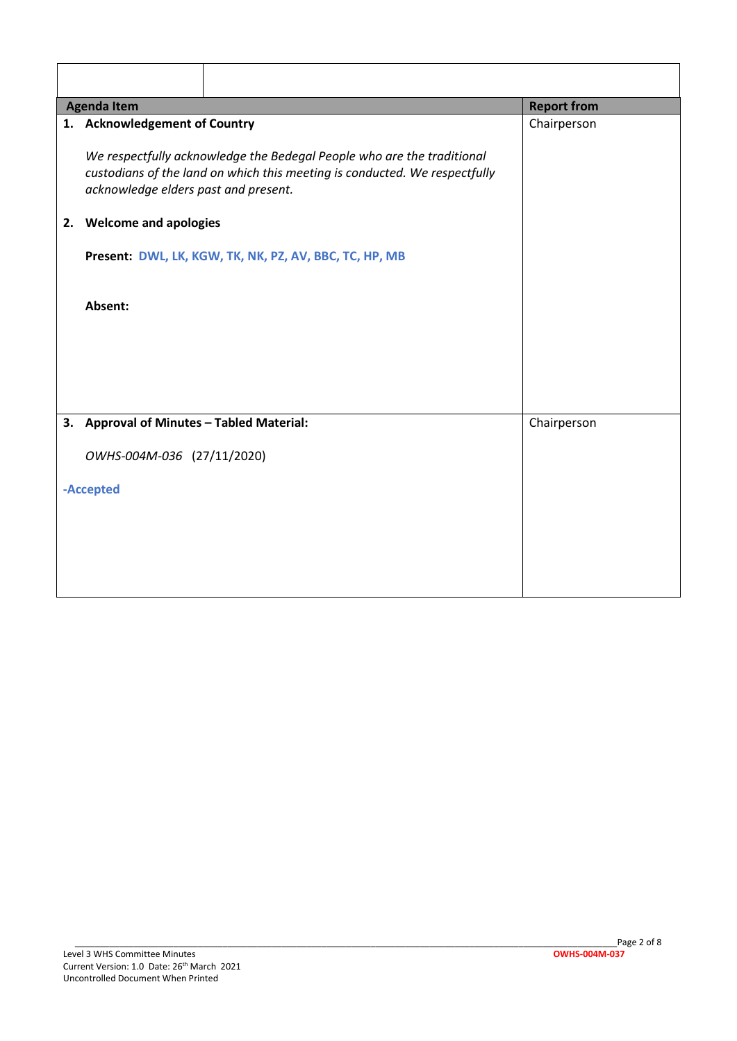| <b>Agenda Item</b> |                                                                                                                                                                                              | <b>Report from</b> |
|--------------------|----------------------------------------------------------------------------------------------------------------------------------------------------------------------------------------------|--------------------|
|                    | 1. Acknowledgement of Country                                                                                                                                                                | Chairperson        |
|                    | We respectfully acknowledge the Bedegal People who are the traditional<br>custodians of the land on which this meeting is conducted. We respectfully<br>acknowledge elders past and present. |                    |
| 2.                 | <b>Welcome and apologies</b>                                                                                                                                                                 |                    |
|                    | Present: DWL, LK, KGW, TK, NK, PZ, AV, BBC, TC, HP, MB                                                                                                                                       |                    |
|                    | Absent:                                                                                                                                                                                      |                    |
|                    |                                                                                                                                                                                              |                    |
|                    |                                                                                                                                                                                              |                    |
|                    | 3. Approval of Minutes - Tabled Material:                                                                                                                                                    | Chairperson        |
|                    | OWHS-004M-036 (27/11/2020)                                                                                                                                                                   |                    |
|                    | -Accepted                                                                                                                                                                                    |                    |
|                    |                                                                                                                                                                                              |                    |
|                    |                                                                                                                                                                                              |                    |
|                    |                                                                                                                                                                                              |                    |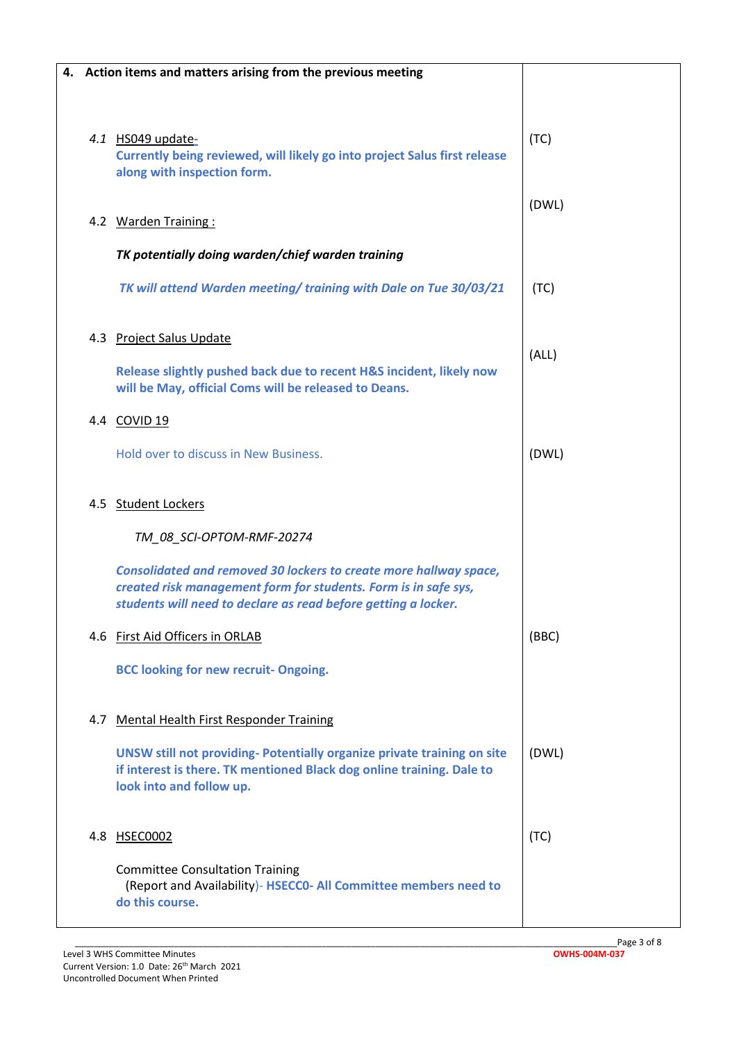|     | 4. Action items and matters arising from the previous meeting                                                                                                                                          |       |
|-----|--------------------------------------------------------------------------------------------------------------------------------------------------------------------------------------------------------|-------|
|     |                                                                                                                                                                                                        |       |
|     | 4.1 HS049 update-<br>Currently being reviewed, will likely go into project Salus first release<br>along with inspection form.                                                                          | (TC)  |
|     | 4.2 Warden Training:                                                                                                                                                                                   | (DWL) |
|     | TK potentially doing warden/chief warden training                                                                                                                                                      |       |
|     | TK will attend Warden meeting/ training with Dale on Tue 30/03/21                                                                                                                                      | (TC)  |
|     | 4.3 Project Salus Update                                                                                                                                                                               |       |
|     | Release slightly pushed back due to recent H&S incident, likely now<br>will be May, official Coms will be released to Deans.                                                                           | (ALL) |
|     | 4.4 COVID 19                                                                                                                                                                                           |       |
|     | Hold over to discuss in New Business.                                                                                                                                                                  | (DWL) |
|     | 4.5 Student Lockers                                                                                                                                                                                    |       |
|     | TM_08_SCI-OPTOM-RMF-20274                                                                                                                                                                              |       |
|     | Consolidated and removed 30 lockers to create more hallway space,<br>created risk management form for students. Form is in safe sys,<br>students will need to declare as read before getting a locker. |       |
|     | 4.6 First Aid Officers in ORLAB                                                                                                                                                                        | (BBC) |
|     | <b>BCC looking for new recruit- Ongoing.</b>                                                                                                                                                           |       |
| 4.7 | Mental Health First Responder Training                                                                                                                                                                 |       |
|     | <b>UNSW still not providing-Potentially organize private training on site</b><br>if interest is there. TK mentioned Black dog online training. Dale to<br>look into and follow up.                     | (DWL) |
| 4.8 | HSEC0002                                                                                                                                                                                               | (TC)  |
|     | <b>Committee Consultation Training</b><br>(Report and Availability) - HSECCO- All Committee members need to<br>do this course.                                                                         |       |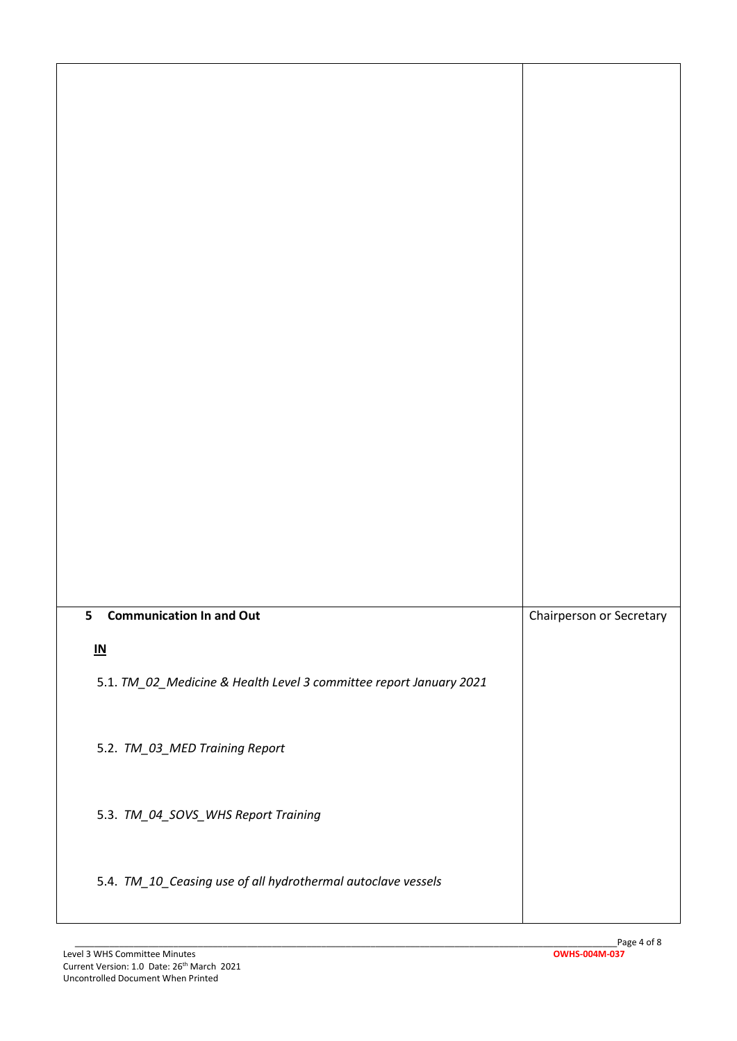| 5<br><b>Communication In and Out</b>                               | Chairperson or Secretary |
|--------------------------------------------------------------------|--------------------------|
| $\underline{\mathsf{IN}}$                                          |                          |
| 5.1. TM_02_Medicine & Health Level 3 committee report January 2021 |                          |
|                                                                    |                          |
|                                                                    |                          |
| 5.2. TM_03_MED Training Report                                     |                          |
|                                                                    |                          |
|                                                                    |                          |
| 5.3. TM_04_SOVS_WHS Report Training                                |                          |
|                                                                    |                          |
|                                                                    |                          |
| 5.4. TM_10_Ceasing use of all hydrothermal autoclave vessels       |                          |
|                                                                    |                          |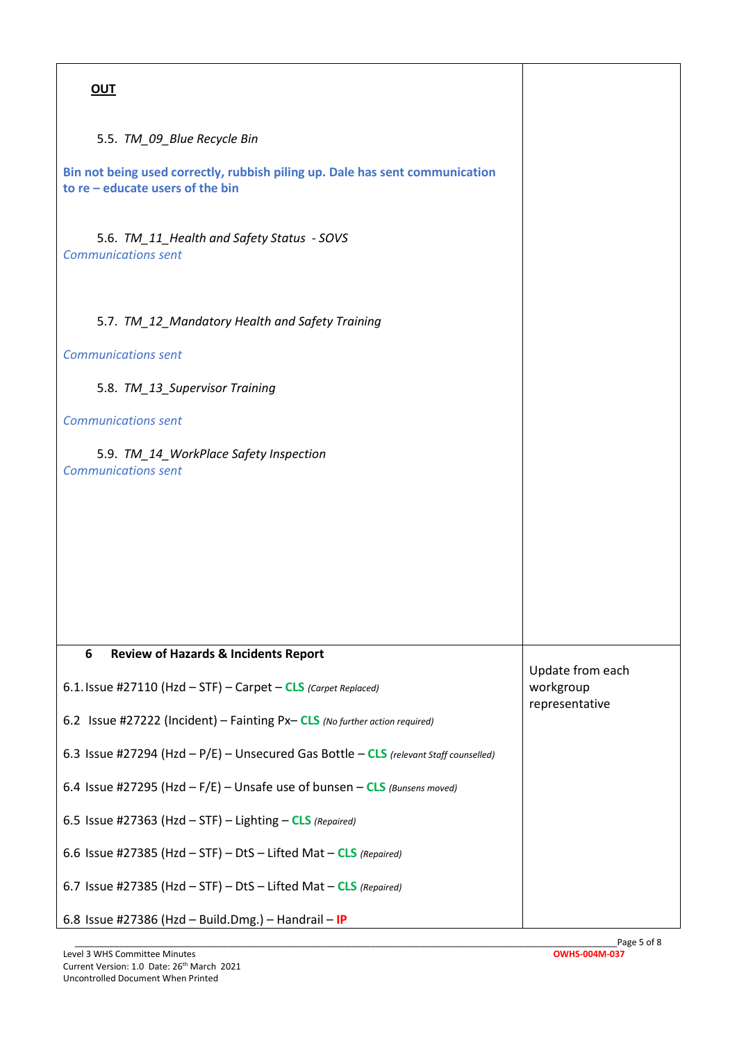| <b>OUT</b>                                                                                                         |                             |
|--------------------------------------------------------------------------------------------------------------------|-----------------------------|
| 5.5. TM 09 Blue Recycle Bin                                                                                        |                             |
| Bin not being used correctly, rubbish piling up. Dale has sent communication<br>to $re$ – educate users of the bin |                             |
| 5.6. TM_11_Health and Safety Status - SOVS<br><b>Communications sent</b>                                           |                             |
| 5.7. TM_12_Mandatory Health and Safety Training                                                                    |                             |
| <b>Communications sent</b>                                                                                         |                             |
| 5.8. TM_13_Supervisor Training                                                                                     |                             |
| <b>Communications sent</b>                                                                                         |                             |
| 5.9. TM_14_WorkPlace Safety Inspection<br><b>Communications sent</b>                                               |                             |
|                                                                                                                    |                             |
|                                                                                                                    |                             |
|                                                                                                                    |                             |
|                                                                                                                    |                             |
|                                                                                                                    |                             |
| 6<br><b>Review of Hazards &amp; Incidents Report</b>                                                               | Update from each            |
| 6.1. Issue #27110 (Hzd - STF) - Carpet - CLS (Carpet Replaced)                                                     | workgroup<br>representative |
| 6.2 Issue #27222 (Incident) - Fainting Px-CLS (No further action required)                                         |                             |
| 6.3 Issue #27294 (Hzd - P/E) - Unsecured Gas Bottle - CLS (relevant Staff counselled)                              |                             |
| 6.4 Issue #27295 (Hzd $-F/E$ ) – Unsafe use of bunsen – CLS (Bunsens moved)                                        |                             |
| 6.5 Issue #27363 (Hzd $-$ STF) $-$ Lighting $-$ CLS (Repaired)                                                     |                             |
| 6.6 Issue #27385 (Hzd - STF) - DtS - Lifted Mat - CLS (Repaired)                                                   |                             |
| 6.7 Issue #27385 (Hzd - STF) - DtS - Lifted Mat - CLS (Repaired)                                                   |                             |
| 6.8 Issue #27386 (Hzd - Build.Dmg.) - Handrail - IP                                                                |                             |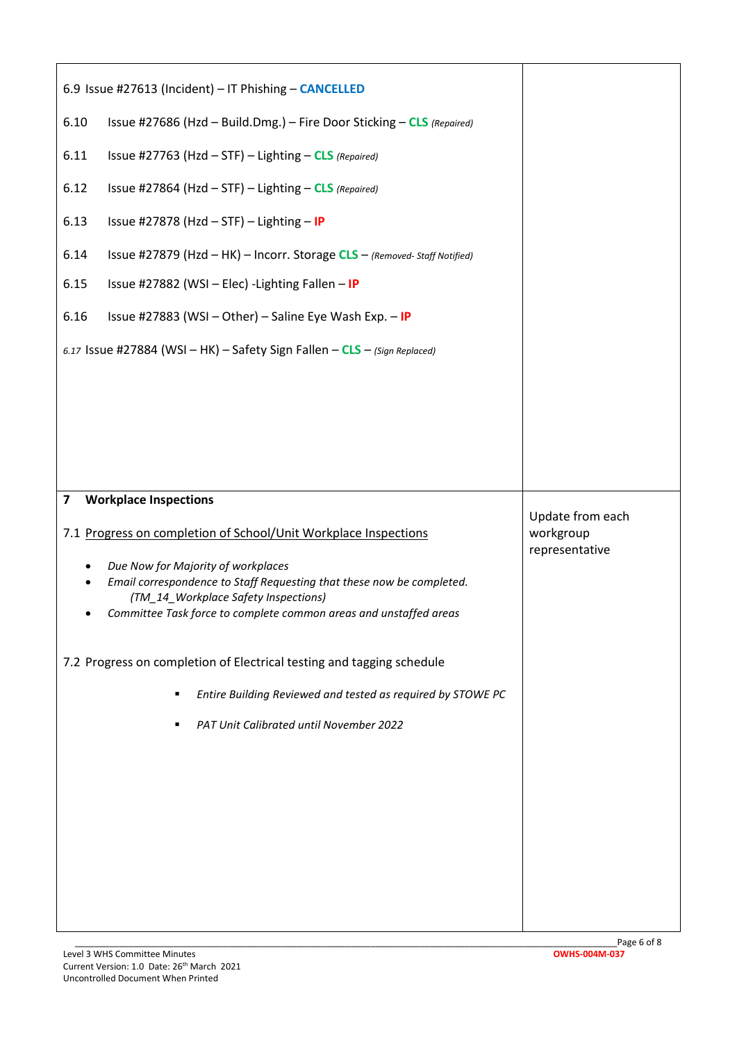| 6.9 Issue #27613 (Incident) - IT Phishing - CANCELLED                                                                                 |                  |
|---------------------------------------------------------------------------------------------------------------------------------------|------------------|
| 6.10<br>Issue #27686 (Hzd - Build.Dmg.) - Fire Door Sticking - CLS (Repaired)                                                         |                  |
| Issue #27763 (Hzd - STF) - Lighting - CLS (Repaired)<br>6.11                                                                          |                  |
| 6.12<br>Issue #27864 (Hzd - STF) - Lighting - CLS (Repaired)                                                                          |                  |
| 6.13<br>Issue #27878 (Hzd - STF) - Lighting - IP                                                                                      |                  |
| 6.14<br>Issue #27879 (Hzd - HK) - Incorr. Storage CLS - (Removed-Staff Notified)                                                      |                  |
| Issue #27882 (WSI - Elec) - Lighting Fallen - IP<br>6.15                                                                              |                  |
| 6.16<br>Issue #27883 (WSI - Other) - Saline Eye Wash Exp. - IP                                                                        |                  |
| 6.17 Issue #27884 (WSI - HK) - Safety Sign Fallen - CLS - (Sign Replaced)                                                             |                  |
|                                                                                                                                       |                  |
|                                                                                                                                       |                  |
|                                                                                                                                       |                  |
|                                                                                                                                       |                  |
|                                                                                                                                       |                  |
| <b>Workplace Inspections</b><br>$\overline{\mathbf{z}}$                                                                               | Update from each |
| 7.1 Progress on completion of School/Unit Workplace Inspections                                                                       | workgroup        |
| Due Now for Majority of workplaces<br>$\bullet$<br>Email correspondence to Staff Requesting that these now be completed.<br>$\bullet$ | representative   |
| (TM_14_Workplace Safety Inspections)<br>Committee Task force to complete common areas and unstaffed areas                             |                  |
|                                                                                                                                       |                  |
| 7.2 Progress on completion of Electrical testing and tagging schedule                                                                 |                  |
| Entire Building Reviewed and tested as required by STOWE PC                                                                           |                  |
| PAT Unit Calibrated until November 2022                                                                                               |                  |
|                                                                                                                                       |                  |
|                                                                                                                                       |                  |
|                                                                                                                                       |                  |
|                                                                                                                                       |                  |
|                                                                                                                                       |                  |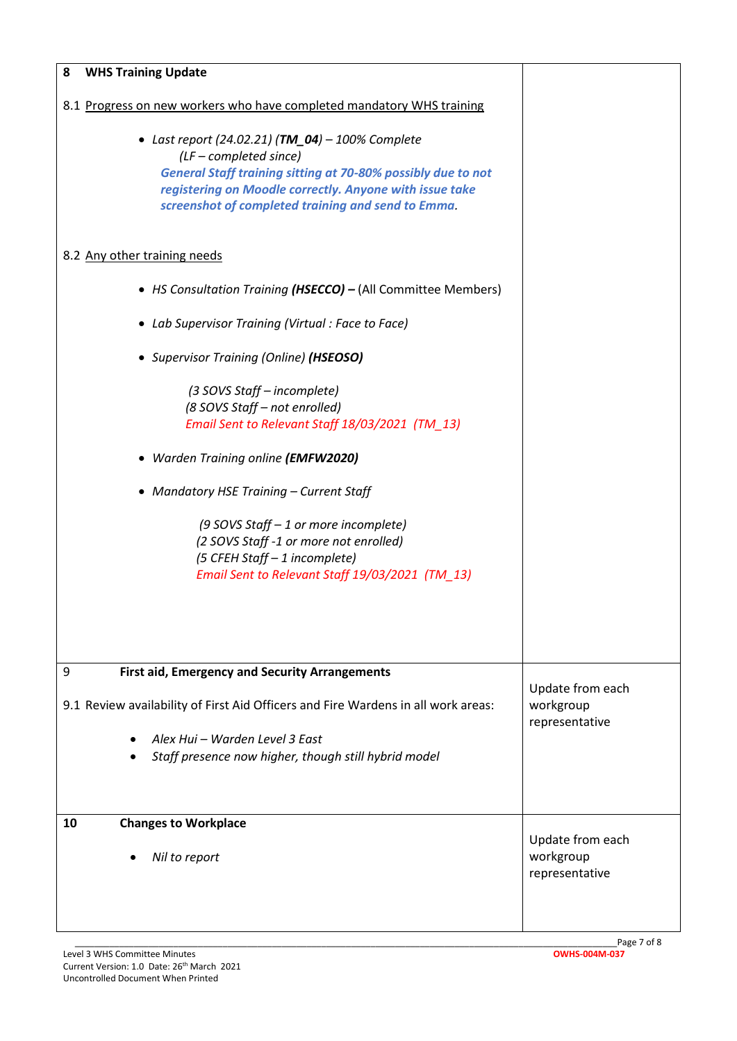| <b>WHS Training Update</b><br>8                                                   |                             |
|-----------------------------------------------------------------------------------|-----------------------------|
|                                                                                   |                             |
| 8.1 Progress on new workers who have completed mandatory WHS training             |                             |
| • Last report (24.02.21) (TM_04) - 100% Complete                                  |                             |
| $(LF - completed since)$                                                          |                             |
| <b>General Staff training sitting at 70-80% possibly due to not</b>               |                             |
| registering on Moodle correctly. Anyone with issue take                           |                             |
| screenshot of completed training and send to Emma.                                |                             |
| 8.2 Any other training needs                                                      |                             |
| • HS Consultation Training (HSECCO) - (All Committee Members)                     |                             |
| • Lab Supervisor Training (Virtual: Face to Face)                                 |                             |
| • Supervisor Training (Online) (HSEOSO)                                           |                             |
| (3 SOVS Staff – incomplete)                                                       |                             |
| (8 SOVS Staff - not enrolled)                                                     |                             |
| Email Sent to Relevant Staff 18/03/2021 (TM_13)                                   |                             |
| • Warden Training online (EMFW2020)                                               |                             |
| • Mandatory HSE Training - Current Staff                                          |                             |
| (9 SOVS Staff - 1 or more incomplete)                                             |                             |
| (2 SOVS Staff -1 or more not enrolled)                                            |                             |
| (5 CFEH Staff - 1 incomplete)                                                     |                             |
| Email Sent to Relevant Staff 19/03/2021 (TM 13)                                   |                             |
|                                                                                   |                             |
|                                                                                   |                             |
|                                                                                   |                             |
| 9<br><b>First aid, Emergency and Security Arrangements</b>                        |                             |
|                                                                                   | Update from each            |
| 9.1 Review availability of First Aid Officers and Fire Wardens in all work areas: | workgroup<br>representative |
| Alex Hui – Warden Level 3 East                                                    |                             |
| Staff presence now higher, though still hybrid model                              |                             |
|                                                                                   |                             |
| 10<br><b>Changes to Workplace</b>                                                 |                             |
|                                                                                   | Update from each            |
| Nil to report<br>$\bullet$                                                        | workgroup<br>representative |
|                                                                                   |                             |
|                                                                                   |                             |
|                                                                                   |                             |